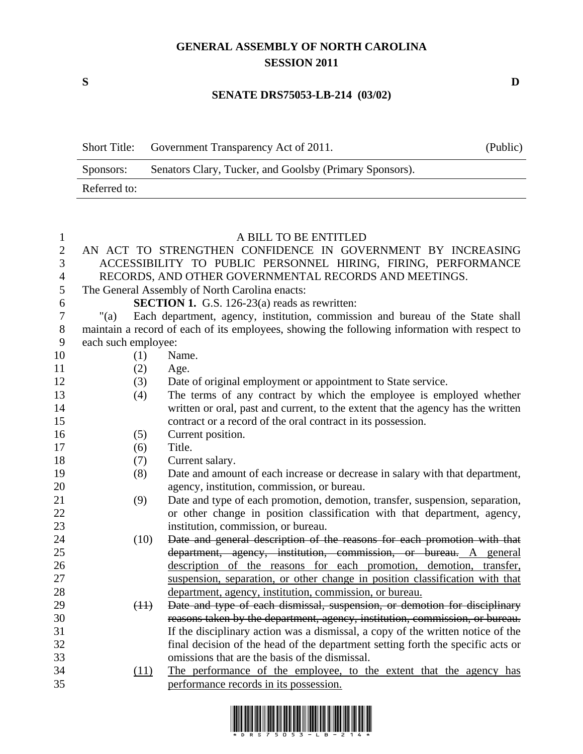## **GENERAL ASSEMBLY OF NORTH CAROLINA SESSION 2011**

## **SENATE DRS75053-LB-214 (03/02)**

|              | Short Title: Government Transparency Act of 2011.       | (Public) |
|--------------|---------------------------------------------------------|----------|
| Sponsors:    | Senators Clary, Tucker, and Goolsby (Primary Sponsors). |          |
| Referred to: |                                                         |          |

| $\mathbf{1}$   |                     |      | A BILL TO BE ENTITLED                                                                         |
|----------------|---------------------|------|-----------------------------------------------------------------------------------------------|
| $\overline{2}$ |                     |      | AN ACT TO STRENGTHEN CONFIDENCE IN GOVERNMENT BY INCREASING                                   |
| 3              |                     |      | ACCESSIBILITY TO PUBLIC PERSONNEL HIRING, FIRING, PERFORMANCE                                 |
| $\overline{4}$ |                     |      | RECORDS, AND OTHER GOVERNMENTAL RECORDS AND MEETINGS.                                         |
| 5              |                     |      | The General Assembly of North Carolina enacts:                                                |
| 6              |                     |      | <b>SECTION 1.</b> G.S. 126-23(a) reads as rewritten:                                          |
| $\tau$         | " $(a)$             |      | Each department, agency, institution, commission and bureau of the State shall                |
| $8\,$          |                     |      | maintain a record of each of its employees, showing the following information with respect to |
| 9              | each such employee: |      |                                                                                               |
| 10             |                     | (1)  | Name.                                                                                         |
| 11             |                     | (2)  | Age.                                                                                          |
| 12             |                     | (3)  | Date of original employment or appointment to State service.                                  |
| 13             |                     | (4)  | The terms of any contract by which the employee is employed whether                           |
| 14             |                     |      | written or oral, past and current, to the extent that the agency has the written              |
| 15             |                     |      | contract or a record of the oral contract in its possession.                                  |
| 16             |                     | (5)  | Current position.                                                                             |
| 17             |                     | (6)  | Title.                                                                                        |
| 18             |                     | (7)  | Current salary.                                                                               |
| 19             |                     | (8)  | Date and amount of each increase or decrease in salary with that department,                  |
| 20             |                     |      | agency, institution, commission, or bureau.                                                   |
| 21             |                     | (9)  | Date and type of each promotion, demotion, transfer, suspension, separation,                  |
| 22             |                     |      | or other change in position classification with that department, agency,                      |
| 23             |                     |      | institution, commission, or bureau.                                                           |
| 24             |                     | (10) | Date and general description of the reasons for each promotion with that                      |
| 25             |                     |      | department, agency, institution, commission, or bureau. A general                             |
| 26             |                     |      | description of the reasons for each promotion, demotion, transfer,                            |
| 27             |                     |      | suspension, separation, or other change in position classification with that                  |
| 28             |                     |      | department, agency, institution, commission, or bureau.                                       |
| 29             |                     | (11) | Date and type of each dismissal, suspension, or demotion for disciplinary                     |
| 30             |                     |      | reasons taken by the department, agency, institution, commission, or bureau.                  |
| 31             |                     |      | If the disciplinary action was a dismissal, a copy of the written notice of the               |
| 32             |                     |      | final decision of the head of the department setting forth the specific acts or               |
| 33             |                     |      | omissions that are the basis of the dismissal.                                                |
| 34             |                     | (11) | The performance of the employee, to the extent that the agency has                            |
| 35             |                     |      | performance records in its possession.                                                        |



**S D**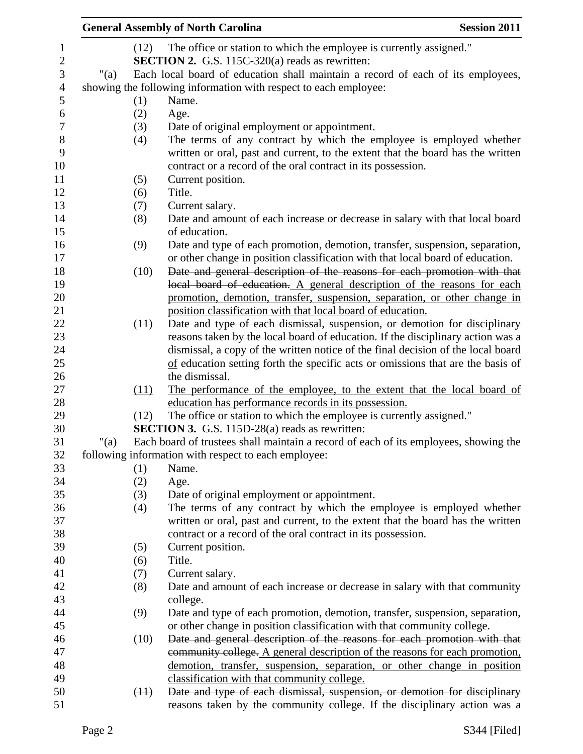|         |      | <b>General Assembly of North Carolina</b>                                            | <b>Session 2011</b> |
|---------|------|--------------------------------------------------------------------------------------|---------------------|
|         | (12) | The office or station to which the employee is currently assigned."                  |                     |
|         |      | <b>SECTION 2.</b> G.S. 115C-320(a) reads as rewritten:                               |                     |
| " $(a)$ |      | Each local board of education shall maintain a record of each of its employees,      |                     |
|         |      | showing the following information with respect to each employee:                     |                     |
|         | (1)  | Name.                                                                                |                     |
|         | (2)  | Age.                                                                                 |                     |
|         | (3)  | Date of original employment or appointment.                                          |                     |
|         | (4)  | The terms of any contract by which the employee is employed whether                  |                     |
|         |      | written or oral, past and current, to the extent that the board has the written      |                     |
|         |      | contract or a record of the oral contract in its possession.                         |                     |
|         | (5)  | Current position.                                                                    |                     |
|         | (6)  | Title.                                                                               |                     |
|         | (7)  | Current salary.                                                                      |                     |
|         | (8)  | Date and amount of each increase or decrease in salary with that local board         |                     |
|         |      | of education.                                                                        |                     |
|         | (9)  | Date and type of each promotion, demotion, transfer, suspension, separation,         |                     |
|         |      | or other change in position classification with that local board of education.       |                     |
|         | (10) | Date and general description of the reasons for each promotion with that             |                     |
|         |      | local board of education. A general description of the reasons for each              |                     |
|         |      | promotion, demotion, transfer, suspension, separation, or other change in            |                     |
|         |      | position classification with that local board of education.                          |                     |
|         | (11) | Date and type of each dismissal, suspension, or demotion for disciplinary            |                     |
|         |      | reasons taken by the local board of education. If the disciplinary action was a      |                     |
|         |      | dismissal, a copy of the written notice of the final decision of the local board     |                     |
|         |      | of education setting forth the specific acts or omissions that are the basis of      |                     |
|         |      | the dismissal.                                                                       |                     |
|         | (11) | The performance of the employee, to the extent that the local board of               |                     |
|         |      | education has performance records in its possession.                                 |                     |
|         | (12) | The office or station to which the employee is currently assigned."                  |                     |
|         |      | <b>SECTION 3.</b> G.S. 115D-28(a) reads as rewritten:                                |                     |
| " $(a)$ |      | Each board of trustees shall maintain a record of each of its employees, showing the |                     |
|         |      | following information with respect to each employee:                                 |                     |
|         | (1)  | Name.                                                                                |                     |
|         | (2)  | Age.                                                                                 |                     |
|         | (3)  | Date of original employment or appointment.                                          |                     |
|         | (4)  | The terms of any contract by which the employee is employed whether                  |                     |
|         |      | written or oral, past and current, to the extent that the board has the written      |                     |
|         |      | contract or a record of the oral contract in its possession.                         |                     |
|         | (5)  | Current position.                                                                    |                     |
|         | (6)  | Title.                                                                               |                     |
|         | (7)  | Current salary.                                                                      |                     |
|         | (8)  | Date and amount of each increase or decrease in salary with that community           |                     |
|         |      | college.                                                                             |                     |
|         | (9)  | Date and type of each promotion, demotion, transfer, suspension, separation,         |                     |
|         |      | or other change in position classification with that community college.              |                     |
|         | (10) | Date and general description of the reasons for each promotion with that             |                     |
|         |      | community college. A general description of the reasons for each promotion,          |                     |
|         |      | demotion, transfer, suspension, separation, or other change in position              |                     |
|         |      | classification with that community college.                                          |                     |
|         | (11) | Date and type of each dismissal, suspension, or demotion for disciplinary            |                     |
|         |      |                                                                                      |                     |
|         |      | reasons taken by the community college. If the disciplinary action was a             |                     |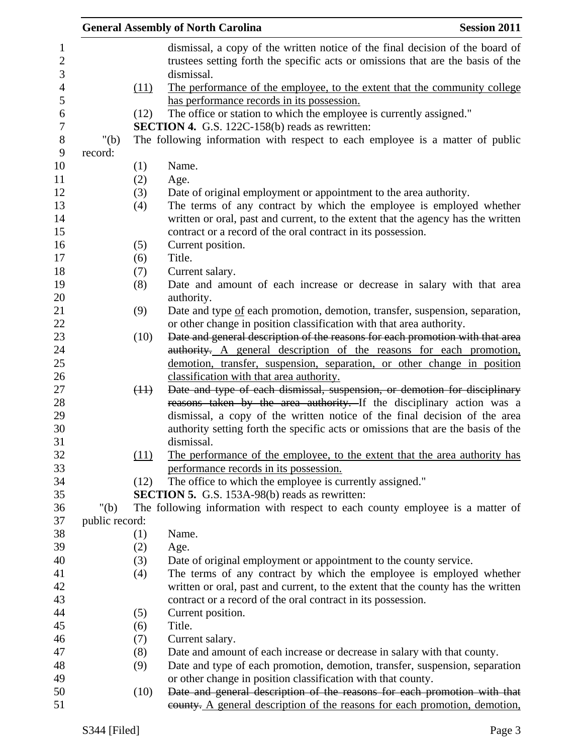|                |      | <b>General Assembly of North Carolina</b>                                                                                                                                                                               | <b>Session 2011</b> |
|----------------|------|-------------------------------------------------------------------------------------------------------------------------------------------------------------------------------------------------------------------------|---------------------|
|                |      | dismissal, a copy of the written notice of the final decision of the board of<br>trustees setting forth the specific acts or omissions that are the basis of the                                                        |                     |
|                | (11) | dismissal.<br>The performance of the employee, to the extent that the community college                                                                                                                                 |                     |
|                |      | has performance records in its possession.                                                                                                                                                                              |                     |
|                | (12) | The office or station to which the employee is currently assigned."<br><b>SECTION 4.</b> G.S. 122C-158(b) reads as rewritten:                                                                                           |                     |
| " $(b)$        |      | The following information with respect to each employee is a matter of public                                                                                                                                           |                     |
| record:        |      |                                                                                                                                                                                                                         |                     |
|                | (1)  | Name.                                                                                                                                                                                                                   |                     |
|                | (2)  | Age.                                                                                                                                                                                                                    |                     |
|                | (3)  | Date of original employment or appointment to the area authority.                                                                                                                                                       |                     |
|                | (4)  | The terms of any contract by which the employee is employed whether<br>written or oral, past and current, to the extent that the agency has the written<br>contract or a record of the oral contract in its possession. |                     |
|                | (5)  | Current position.                                                                                                                                                                                                       |                     |
|                | (6)  | Title.                                                                                                                                                                                                                  |                     |
|                | (7)  | Current salary.                                                                                                                                                                                                         |                     |
|                | (8)  | Date and amount of each increase or decrease in salary with that area<br>authority.                                                                                                                                     |                     |
|                | (9)  | Date and type of each promotion, demotion, transfer, suspension, separation,<br>or other change in position classification with that area authority.                                                                    |                     |
|                | (10) | Date and general description of the reasons for each promotion with that area                                                                                                                                           |                     |
|                |      | authority. A general description of the reasons for each promotion,                                                                                                                                                     |                     |
|                |      | demotion, transfer, suspension, separation, or other change in position                                                                                                                                                 |                     |
|                |      | classification with that area authority.                                                                                                                                                                                |                     |
|                | (11) | Date and type of each dismissal, suspension, or demotion for disciplinary                                                                                                                                               |                     |
|                |      | reasons taken by the area authority. If the disciplinary action was a<br>dismissal, a copy of the written notice of the final decision of the area                                                                      |                     |
|                |      | authority setting forth the specific acts or omissions that are the basis of the<br>dismissal.                                                                                                                          |                     |
|                | (11) | The performance of the employee, to the extent that the area authority has<br>performance records in its possession.                                                                                                    |                     |
|                | (12) | The office to which the employee is currently assigned."                                                                                                                                                                |                     |
|                |      | <b>SECTION 5.</b> G.S. 153A-98(b) reads as rewritten:                                                                                                                                                                   |                     |
| " $(b)$        |      | The following information with respect to each county employee is a matter of                                                                                                                                           |                     |
| public record: |      |                                                                                                                                                                                                                         |                     |
|                | (1)  | Name.                                                                                                                                                                                                                   |                     |
|                | (2)  | Age.                                                                                                                                                                                                                    |                     |
|                | (3)  | Date of original employment or appointment to the county service.                                                                                                                                                       |                     |
|                | (4)  | The terms of any contract by which the employee is employed whether                                                                                                                                                     |                     |
|                |      | written or oral, past and current, to the extent that the county has the written                                                                                                                                        |                     |
|                |      | contract or a record of the oral contract in its possession.                                                                                                                                                            |                     |
|                | (5)  | Current position.                                                                                                                                                                                                       |                     |
|                | (6)  | Title.                                                                                                                                                                                                                  |                     |
|                | (7)  | Current salary.                                                                                                                                                                                                         |                     |
|                | (8)  | Date and amount of each increase or decrease in salary with that county.                                                                                                                                                |                     |
|                | (9)  | Date and type of each promotion, demotion, transfer, suspension, separation                                                                                                                                             |                     |
|                |      | or other change in position classification with that county.                                                                                                                                                            |                     |
|                | (10) | Date and general description of the reasons for each promotion with that                                                                                                                                                |                     |
|                |      | eounty. A general description of the reasons for each promotion, demotion,                                                                                                                                              |                     |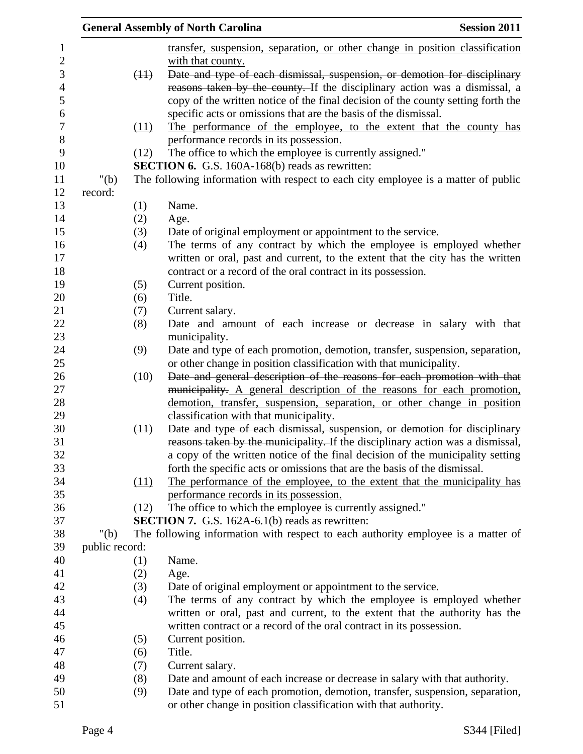| " $(b)$<br>record:<br>(1)<br>(2)<br>(3)<br>(4)<br>(5) | transfer, suspension, separation, or other change in position classification<br>with that county.<br>Date and type of each dismissal, suspension, or demotion for disciplinary<br>(11)<br>reasons taken by the county. If the disciplinary action was a dismissal, a<br>copy of the written notice of the final decision of the county setting forth the<br>specific acts or omissions that are the basis of the dismissal.<br>The performance of the employee, to the extent that the county has<br>(11)<br>performance records in its possession.<br>The office to which the employee is currently assigned."<br>(12)<br><b>SECTION 6.</b> G.S. 160A-168(b) reads as rewritten:<br>The following information with respect to each city employee is a matter of public<br>Name.<br>Age.<br>Date of original employment or appointment to the service.<br>The terms of any contract by which the employee is employed whether<br>written or oral, past and current, to the extent that the city has the written<br>contract or a record of the oral contract in its possession. |
|-------------------------------------------------------|---------------------------------------------------------------------------------------------------------------------------------------------------------------------------------------------------------------------------------------------------------------------------------------------------------------------------------------------------------------------------------------------------------------------------------------------------------------------------------------------------------------------------------------------------------------------------------------------------------------------------------------------------------------------------------------------------------------------------------------------------------------------------------------------------------------------------------------------------------------------------------------------------------------------------------------------------------------------------------------------------------------------------------------------------------------------------------|
|                                                       |                                                                                                                                                                                                                                                                                                                                                                                                                                                                                                                                                                                                                                                                                                                                                                                                                                                                                                                                                                                                                                                                                 |
|                                                       |                                                                                                                                                                                                                                                                                                                                                                                                                                                                                                                                                                                                                                                                                                                                                                                                                                                                                                                                                                                                                                                                                 |
|                                                       |                                                                                                                                                                                                                                                                                                                                                                                                                                                                                                                                                                                                                                                                                                                                                                                                                                                                                                                                                                                                                                                                                 |
|                                                       |                                                                                                                                                                                                                                                                                                                                                                                                                                                                                                                                                                                                                                                                                                                                                                                                                                                                                                                                                                                                                                                                                 |
|                                                       |                                                                                                                                                                                                                                                                                                                                                                                                                                                                                                                                                                                                                                                                                                                                                                                                                                                                                                                                                                                                                                                                                 |
|                                                       |                                                                                                                                                                                                                                                                                                                                                                                                                                                                                                                                                                                                                                                                                                                                                                                                                                                                                                                                                                                                                                                                                 |
|                                                       |                                                                                                                                                                                                                                                                                                                                                                                                                                                                                                                                                                                                                                                                                                                                                                                                                                                                                                                                                                                                                                                                                 |
|                                                       |                                                                                                                                                                                                                                                                                                                                                                                                                                                                                                                                                                                                                                                                                                                                                                                                                                                                                                                                                                                                                                                                                 |
|                                                       |                                                                                                                                                                                                                                                                                                                                                                                                                                                                                                                                                                                                                                                                                                                                                                                                                                                                                                                                                                                                                                                                                 |
|                                                       |                                                                                                                                                                                                                                                                                                                                                                                                                                                                                                                                                                                                                                                                                                                                                                                                                                                                                                                                                                                                                                                                                 |
|                                                       |                                                                                                                                                                                                                                                                                                                                                                                                                                                                                                                                                                                                                                                                                                                                                                                                                                                                                                                                                                                                                                                                                 |
|                                                       |                                                                                                                                                                                                                                                                                                                                                                                                                                                                                                                                                                                                                                                                                                                                                                                                                                                                                                                                                                                                                                                                                 |
|                                                       |                                                                                                                                                                                                                                                                                                                                                                                                                                                                                                                                                                                                                                                                                                                                                                                                                                                                                                                                                                                                                                                                                 |
|                                                       |                                                                                                                                                                                                                                                                                                                                                                                                                                                                                                                                                                                                                                                                                                                                                                                                                                                                                                                                                                                                                                                                                 |
|                                                       |                                                                                                                                                                                                                                                                                                                                                                                                                                                                                                                                                                                                                                                                                                                                                                                                                                                                                                                                                                                                                                                                                 |
|                                                       |                                                                                                                                                                                                                                                                                                                                                                                                                                                                                                                                                                                                                                                                                                                                                                                                                                                                                                                                                                                                                                                                                 |
|                                                       |                                                                                                                                                                                                                                                                                                                                                                                                                                                                                                                                                                                                                                                                                                                                                                                                                                                                                                                                                                                                                                                                                 |
|                                                       |                                                                                                                                                                                                                                                                                                                                                                                                                                                                                                                                                                                                                                                                                                                                                                                                                                                                                                                                                                                                                                                                                 |
|                                                       | Current position.                                                                                                                                                                                                                                                                                                                                                                                                                                                                                                                                                                                                                                                                                                                                                                                                                                                                                                                                                                                                                                                               |
| (6)                                                   | Title.                                                                                                                                                                                                                                                                                                                                                                                                                                                                                                                                                                                                                                                                                                                                                                                                                                                                                                                                                                                                                                                                          |
| (7)                                                   | Current salary.                                                                                                                                                                                                                                                                                                                                                                                                                                                                                                                                                                                                                                                                                                                                                                                                                                                                                                                                                                                                                                                                 |
| (8)                                                   | Date and amount of each increase or decrease in salary with that                                                                                                                                                                                                                                                                                                                                                                                                                                                                                                                                                                                                                                                                                                                                                                                                                                                                                                                                                                                                                |
| (9)                                                   | municipality.<br>Date and type of each promotion, demotion, transfer, suspension, separation,                                                                                                                                                                                                                                                                                                                                                                                                                                                                                                                                                                                                                                                                                                                                                                                                                                                                                                                                                                                   |
|                                                       | or other change in position classification with that municipality.                                                                                                                                                                                                                                                                                                                                                                                                                                                                                                                                                                                                                                                                                                                                                                                                                                                                                                                                                                                                              |
|                                                       | Date and general description of the reasons for each promotion with that<br>(10)                                                                                                                                                                                                                                                                                                                                                                                                                                                                                                                                                                                                                                                                                                                                                                                                                                                                                                                                                                                                |
|                                                       | municipality. A general description of the reasons for each promotion,                                                                                                                                                                                                                                                                                                                                                                                                                                                                                                                                                                                                                                                                                                                                                                                                                                                                                                                                                                                                          |
|                                                       | demotion, transfer, suspension, separation, or other change in position                                                                                                                                                                                                                                                                                                                                                                                                                                                                                                                                                                                                                                                                                                                                                                                                                                                                                                                                                                                                         |
|                                                       | classification with that municipality.                                                                                                                                                                                                                                                                                                                                                                                                                                                                                                                                                                                                                                                                                                                                                                                                                                                                                                                                                                                                                                          |
|                                                       | Date and type of each dismissal, suspension, or demotion for disciplinary<br>(11)                                                                                                                                                                                                                                                                                                                                                                                                                                                                                                                                                                                                                                                                                                                                                                                                                                                                                                                                                                                               |
|                                                       | reasons taken by the municipality. If the disciplinary action was a dismissal,                                                                                                                                                                                                                                                                                                                                                                                                                                                                                                                                                                                                                                                                                                                                                                                                                                                                                                                                                                                                  |
|                                                       | a copy of the written notice of the final decision of the municipality setting                                                                                                                                                                                                                                                                                                                                                                                                                                                                                                                                                                                                                                                                                                                                                                                                                                                                                                                                                                                                  |
|                                                       | forth the specific acts or omissions that are the basis of the dismissal.                                                                                                                                                                                                                                                                                                                                                                                                                                                                                                                                                                                                                                                                                                                                                                                                                                                                                                                                                                                                       |
|                                                       | The performance of the employee, to the extent that the municipality has<br>(11)                                                                                                                                                                                                                                                                                                                                                                                                                                                                                                                                                                                                                                                                                                                                                                                                                                                                                                                                                                                                |
|                                                       | performance records in its possession.                                                                                                                                                                                                                                                                                                                                                                                                                                                                                                                                                                                                                                                                                                                                                                                                                                                                                                                                                                                                                                          |
|                                                       | The office to which the employee is currently assigned."<br>(12)                                                                                                                                                                                                                                                                                                                                                                                                                                                                                                                                                                                                                                                                                                                                                                                                                                                                                                                                                                                                                |
|                                                       | <b>SECTION 7.</b> G.S. 162A-6.1(b) reads as rewritten:                                                                                                                                                                                                                                                                                                                                                                                                                                                                                                                                                                                                                                                                                                                                                                                                                                                                                                                                                                                                                          |
| " $(b)$                                               | The following information with respect to each authority employee is a matter of                                                                                                                                                                                                                                                                                                                                                                                                                                                                                                                                                                                                                                                                                                                                                                                                                                                                                                                                                                                                |
| public record:                                        |                                                                                                                                                                                                                                                                                                                                                                                                                                                                                                                                                                                                                                                                                                                                                                                                                                                                                                                                                                                                                                                                                 |
| (1)                                                   | Name.                                                                                                                                                                                                                                                                                                                                                                                                                                                                                                                                                                                                                                                                                                                                                                                                                                                                                                                                                                                                                                                                           |
| (2)                                                   | Age.                                                                                                                                                                                                                                                                                                                                                                                                                                                                                                                                                                                                                                                                                                                                                                                                                                                                                                                                                                                                                                                                            |
| (3)                                                   | Date of original employment or appointment to the service.                                                                                                                                                                                                                                                                                                                                                                                                                                                                                                                                                                                                                                                                                                                                                                                                                                                                                                                                                                                                                      |
| (4)                                                   | The terms of any contract by which the employee is employed whether                                                                                                                                                                                                                                                                                                                                                                                                                                                                                                                                                                                                                                                                                                                                                                                                                                                                                                                                                                                                             |
|                                                       | written or oral, past and current, to the extent that the authority has the                                                                                                                                                                                                                                                                                                                                                                                                                                                                                                                                                                                                                                                                                                                                                                                                                                                                                                                                                                                                     |
|                                                       | written contract or a record of the oral contract in its possession.                                                                                                                                                                                                                                                                                                                                                                                                                                                                                                                                                                                                                                                                                                                                                                                                                                                                                                                                                                                                            |
| (5)                                                   | Current position.                                                                                                                                                                                                                                                                                                                                                                                                                                                                                                                                                                                                                                                                                                                                                                                                                                                                                                                                                                                                                                                               |
| (6)                                                   | Title.                                                                                                                                                                                                                                                                                                                                                                                                                                                                                                                                                                                                                                                                                                                                                                                                                                                                                                                                                                                                                                                                          |
| (7)                                                   | Current salary.                                                                                                                                                                                                                                                                                                                                                                                                                                                                                                                                                                                                                                                                                                                                                                                                                                                                                                                                                                                                                                                                 |
| (8)<br>(9)                                            | Date and amount of each increase or decrease in salary with that authority.<br>Date and type of each promotion, demotion, transfer, suspension, separation,                                                                                                                                                                                                                                                                                                                                                                                                                                                                                                                                                                                                                                                                                                                                                                                                                                                                                                                     |
|                                                       | or other change in position classification with that authority.                                                                                                                                                                                                                                                                                                                                                                                                                                                                                                                                                                                                                                                                                                                                                                                                                                                                                                                                                                                                                 |